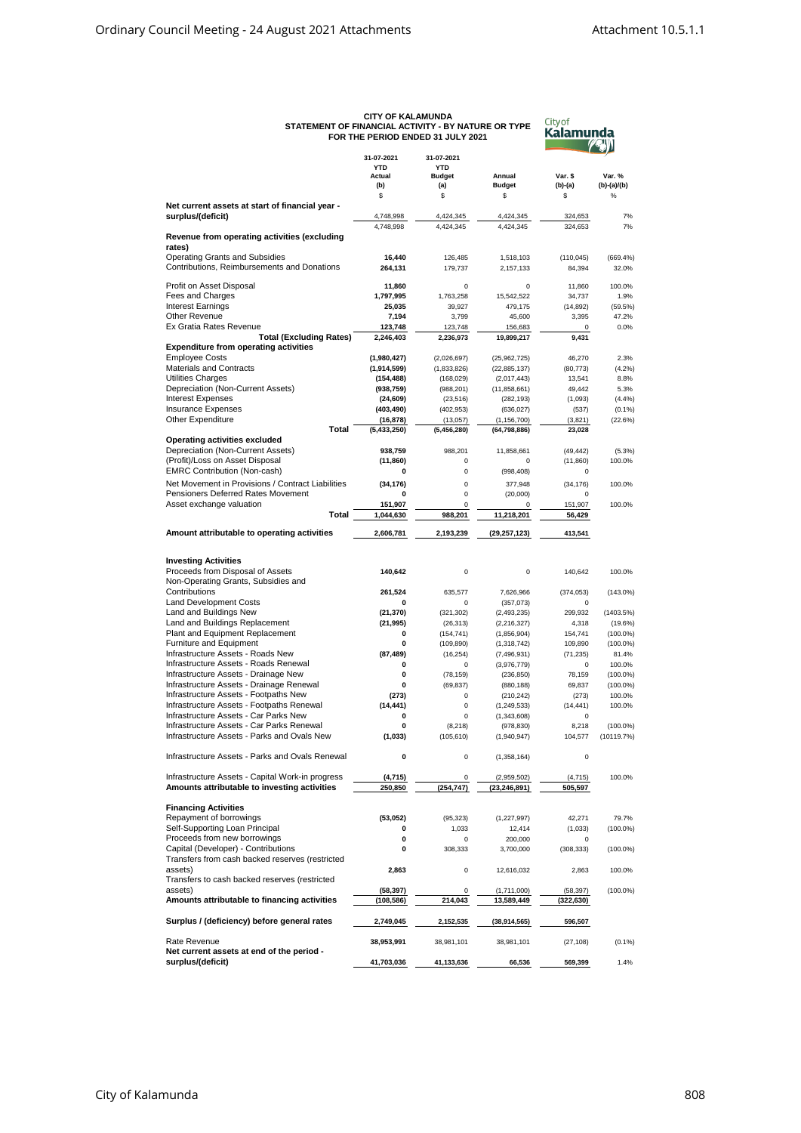|                                                                                          |                          | FOR THE PERIOD ENDED 31 JULY 2021 |                              | Naidi I I            |                           |  |
|------------------------------------------------------------------------------------------|--------------------------|-----------------------------------|------------------------------|----------------------|---------------------------|--|
|                                                                                          | 31-07-2021               |                                   |                              |                      |                           |  |
|                                                                                          | 31-07-2021<br><b>YTD</b> | <b>YTD</b>                        |                              |                      |                           |  |
|                                                                                          | Actual                   | <b>Budget</b>                     | Annual                       | Var. \$              | Var. %                    |  |
|                                                                                          | (b)<br>\$                | (a)<br>\$                         | <b>Budget</b><br>\$          | $(b)-(a)$<br>\$      | (b)-(a)/(b)<br>$\%$       |  |
| Net current assets at start of financial year -                                          |                          |                                   |                              |                      |                           |  |
| surplus/(deficit)                                                                        | 4,748,998                | 4,424,345                         | 4,424,345                    | 324,653              | 7%                        |  |
|                                                                                          | 4,748,998                | 4,424,345                         | 4,424,345                    | 324,653              | 7%                        |  |
| Revenue from operating activities (excluding                                             |                          |                                   |                              |                      |                           |  |
| rates)                                                                                   |                          |                                   |                              |                      |                           |  |
| <b>Operating Grants and Subsidies</b><br>Contributions, Reimbursements and Donations     | 16,440<br>264,131        | 126,485<br>179,737                | 1,518,103<br>2,157,133       | (110, 045)<br>84,394 | (669.4%<br>32.0%          |  |
|                                                                                          |                          |                                   |                              |                      |                           |  |
| Profit on Asset Disposal                                                                 | 11,860                   | $\mathbf 0$                       | $\mathbf 0$                  | 11,860               | 100.0%                    |  |
| Fees and Charges                                                                         | 1,797,995                | 1,763,258                         | 15,542,522                   | 34,737               | 1.9%                      |  |
| <b>Interest Earnings</b>                                                                 | 25,035                   | 39,927                            | 479,175                      | (14, 892)            | (59.5%)                   |  |
| Other Revenue<br>Ex Gratia Rates Revenue                                                 | 7,194                    | 3,799                             | 45,600                       | 3,395                | 47.2%<br>0.0%             |  |
| <b>Total (Excluding Rates)</b>                                                           | 123,748<br>2,246,403     | 123,748<br>2,236,973              | 156,683<br>19,899,217        | 0<br>9,431           |                           |  |
| <b>Expenditure from operating activities</b>                                             |                          |                                   |                              |                      |                           |  |
| <b>Employee Costs</b>                                                                    | (1,980,427)              | (2,026,697)                       | (25, 962, 725)               | 46,270               | 2.3%                      |  |
| Materials and Contracts                                                                  | (1,914,599)              | (1,833,826)                       | (22, 885, 137)               | (80, 773)            | (4.2%)                    |  |
| <b>Utilities Charges</b>                                                                 | (154, 488)               | (168, 029)                        | (2,017,443)                  | 13,541               | 8.8%                      |  |
| Depreciation (Non-Current Assets)                                                        | (938, 759)               | (988, 201)                        | (11,858,661)                 | 49,442               | 5.3%                      |  |
| <b>Interest Expenses</b><br><b>Insurance Expenses</b>                                    | (24, 609)                | (23, 516)                         | (282, 193)                   | (1,093)              | (4.4%)                    |  |
| Other Expenditure                                                                        | (403, 490)<br>(16,878)   | (402, 953)<br>(13,057)            | (636, 027)<br>(1, 156, 700)  | (537)<br>(3,821)     | (0.1%<br>(22.6%)          |  |
| <b>Total</b>                                                                             | (5,433,250)              | (5,456,280)                       | (64, 798, 886)               | 23,028               |                           |  |
| Operating activities excluded                                                            |                          |                                   |                              |                      |                           |  |
| Depreciation (Non-Current Assets)                                                        | 938.759                  | 988.201                           | 11,858,661                   | (49, 442)            | (5.3%)                    |  |
| (Profit)/Loss on Asset Disposal                                                          | (11, 860)                | $\mathsf 0$                       | 0                            | (11, 860)            | 100.0%                    |  |
| <b>EMRC Contribution (Non-cash)</b>                                                      | 0                        | 0                                 | (998, 408)                   | 0                    |                           |  |
| Net Movement in Provisions / Contract Liabilities                                        | (34, 176)                | $\mathbf 0$                       | 377,948                      | (34, 176)            | 100.0%                    |  |
| Pensioners Deferred Rates Movement                                                       | 0                        | $\mathsf 0$                       | (20,000)                     | 0                    |                           |  |
| Asset exchange valuation                                                                 | 151,907                  | 0                                 | 0                            | 151,907              | 100.0%                    |  |
| Total                                                                                    | 1,044,630                | 988,201                           | 11,218,201                   | 56,429               |                           |  |
| Amount attributable to operating activities                                              | 2,606,781                | 2,193,239                         | (29,257,123)                 | 413,541              |                           |  |
|                                                                                          |                          |                                   |                              |                      |                           |  |
| <b>Investing Activities</b>                                                              |                          |                                   |                              |                      |                           |  |
| Proceeds from Disposal of Assets                                                         | 140,642                  | 0                                 | 0                            | 140,642              | 100.0%                    |  |
| Non-Operating Grants, Subsidies and                                                      |                          |                                   |                              |                      |                           |  |
| Contributions                                                                            | 261,524                  | 635,577                           | 7,626,966                    | (374, 053)           | $(143.0\%)$               |  |
| <b>Land Development Costs</b>                                                            | 0                        | $\pmb{0}$                         | (357,073)                    | 0                    |                           |  |
| Land and Buildings New                                                                   | (21, 370)                | (321, 302)                        | (2, 493, 235)                | 299,932              | (1403.5%)                 |  |
| Land and Buildings Replacement                                                           | (21, 995)                | (26, 313)                         | (2, 216, 327)                | 4,318                | (19.6%)                   |  |
| Plant and Equipment Replacement                                                          | 0                        | (154, 741)                        | (1,856,904)                  | 154,741              | $(100.0\%)$               |  |
| Furniture and Equipment<br>Infrastructure Assets - Roads New                             | 0<br>(87, 489)           | (109, 890)<br>(16, 254)           | (1,318,742)<br>(7, 496, 931) | 109,890<br>(71, 235) | $(100.0\%)$<br>81.4%      |  |
| Infrastructure Assets - Roads Renewal                                                    | 0                        | 0                                 | (3,976,779)                  | 0                    | 100.0%                    |  |
| Infrastructure Assets - Drainage New                                                     | 0                        | (78, 159)                         | (236, 850)                   | 78,159               | $(100.0\%)$               |  |
| Infrastructure Assets - Drainage Renewal                                                 | 0                        | (69, 837)                         | (880, 188)                   | 69,837               | $(100.0\%)$               |  |
| Infrastructure Assets - Footpaths New                                                    | (273)                    | $\mathsf 0$                       | (210, 242)                   | (273)                | 100.0%                    |  |
| Infrastructure Assets - Footpaths Renewal                                                | (14, 441)                | $\mathsf 0$                       | (1, 249, 533)                | (14, 441)            | 100.0%                    |  |
| Infrastructure Assets - Car Parks New                                                    | 0                        | 0                                 | (1,343,608)                  | 0                    |                           |  |
| Infrastructure Assets - Car Parks Renewal<br>Infrastructure Assets - Parks and Ovals New | 0<br>(1, 033)            | (8, 218)                          | (978, 830)                   | 8,218                | $(100.0\%)$<br>(10119.7%) |  |
|                                                                                          |                          | (105, 610)                        | (1,940,947)                  | 104,577              |                           |  |
| Infrastructure Assets - Parks and Ovals Renewal                                          | 0                        | 0                                 | (1,358,164)                  | 0                    |                           |  |
|                                                                                          |                          |                                   |                              |                      |                           |  |
| Infrastructure Assets - Capital Work-in progress                                         | (4,715)                  | 0                                 | (2,959,502)                  | (4, 715)             | 100.0%                    |  |
| Amounts attributable to investing activities                                             | 250,850                  | (254, 747)                        | (23, 246, 891)               | 505,597              |                           |  |
|                                                                                          |                          |                                   |                              |                      |                           |  |
| <b>Financing Activities</b><br>Repayment of borrowings                                   |                          | (95, 323)                         |                              | 42,271               | 79.7%                     |  |
| Self-Supporting Loan Principal                                                           | (53,052)<br>0            | 1,033                             | (1, 227, 997)<br>12,414      | (1,033)              | $(100.0\%)$               |  |
| Proceeds from new borrowings                                                             | 0                        | $\mathsf 0$                       | 200,000                      | 0                    |                           |  |
| Capital (Developer) - Contributions                                                      | 0                        | 308,333                           | 3,700,000                    | (308, 333)           | $(100.0\%)$               |  |
| Transfers from cash backed reserves (restricted                                          |                          |                                   |                              |                      |                           |  |
| assets)                                                                                  | 2,863                    | $\mathsf 0$                       | 12,616,032                   | 2,863                | 100.0%                    |  |
| Transfers to cash backed reserves (restricted                                            |                          |                                   |                              |                      |                           |  |
| assets)                                                                                  | (58, 397)                | 0                                 | (1,711,000)                  | (58, 397)            | $(100.0\%)$               |  |
| Amounts attributable to financing activities                                             | (108,586)                | 214,043                           | 13,589,449                   | (322,630)            |                           |  |
| Surplus / (deficiency) before general rates                                              | 2,749,045                | 2,152,535                         | (38, 914, 565)               | 596,507              |                           |  |
|                                                                                          |                          |                                   |                              |                      |                           |  |
| Rate Revenue                                                                             | 38,953,991               | 38,981,101                        | 38,981,101                   | (27, 108)            | (0.1%                     |  |
| Net current assets at end of the period -                                                |                          |                                   |                              |                      |                           |  |
| surplus/(deficit)                                                                        | 41,703,036               | 41,133,636                        | 66,536                       | 569,399              | 1.4%                      |  |

## **CITY OF KALAMUNDA STATEMENT OF FINANCIAL ACTIVITY - BY NATURE OR TYPE**